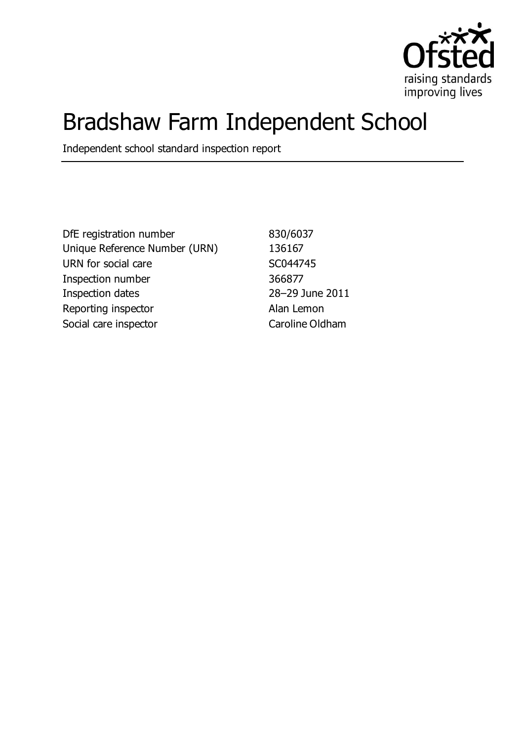

# Bradshaw Farm Independent School

Independent school standard inspection report

DfE registration number 830/6037 Unique Reference Number (URN) 136167 URN for social care SC044745 Inspection number 366877 Inspection dates 28–29 June 2011 Reporting inspector and all alan Lemon Social care inspector Caroline Oldham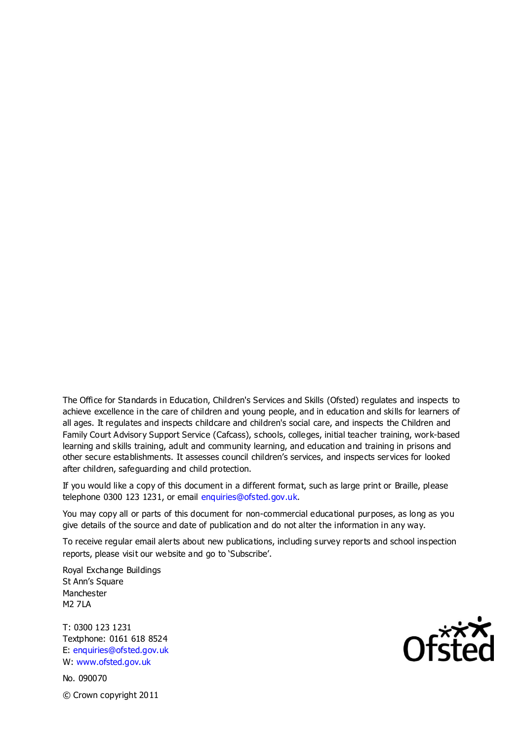The Office for Standards in Education, Children's Services and Skills (Ofsted) regulates and inspects to achieve excellence in the care of children and young people, and in education and skills for learners of all ages. It regulates and inspects childcare and children's social care, and inspects the Children and Family Court Advisory Support Service (Cafcass), schools, colleges, initial teacher training, work-based learning and skills training, adult and community learning, and education and training in prisons and other secure establishments. It assesses council children's services, and inspects services for looked after children, safeguarding and child protection.

If you would like a copy of this document in a different format, such as large print or Braille, please telephone 0300 123 1231, or email enquiries@ofsted.gov.uk.

You may copy all or parts of this document for non-commercial educational purposes, as long as you give details of the source and date of publication and do not alter the information in any way.

To receive regular email alerts about new publications, including survey reports and school inspection reports, please visit our website and go to 'Subscribe'.

Royal Exchange Buildings St Ann's Square Manchester M2 7LA

T: 0300 123 1231 Textphone: 0161 618 8524 E: enquiries@ofsted.gov.uk W: www.ofsted.gov.uk

No. 090070 © Crown copyright 2011

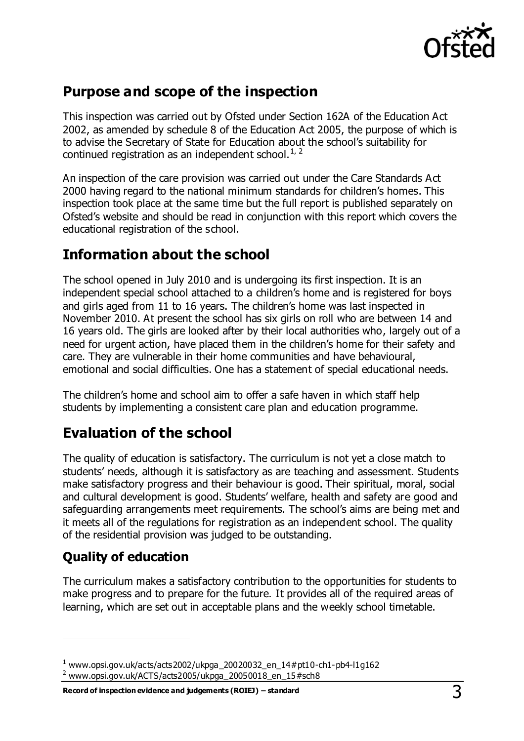

# **Purpose and scope of the inspection**

This inspection was carried out by Ofsted under Section 162A of the Education Act 2002, as amended by schedule 8 of the Education Act 2005, the purpose of which is to advise the Secretary of State for Education about the school's suitability for continued registration as an independent school. $1/2$ 

An inspection of the care provision was carried out under the Care Standards Act 2000 having regard to the national minimum standards for children's homes. This inspection took place at the same time but the full report is published separately on Ofsted's website and should be read in conjunction with this report which covers the educational registration of the school.

# **Information about the school**

The school opened in July 2010 and is undergoing its first inspection. It is an independent special school attached to a children's home and is registered for boys and girls aged from 11 to 16 years. The children's home was last inspected in November 2010. At present the school has six girls on roll who are between 14 and 16 years old. The girls are looked after by their local authorities who, largely out of a need for urgent action, have placed them in the children's home for their safety and care. They are vulnerable in their home communities and have behavioural, emotional and social difficulties. One has a statement of special educational needs.

The children's home and school aim to offer a safe haven in which staff help students by implementing a consistent care plan and education programme.

# **Evaluation of the school**

The quality of education is satisfactory. The curriculum is not yet a close match to students' needs, although it is satisfactory as are teaching and assessment. Students make satisfactory progress and their behaviour is good. Their spiritual, moral, social and cultural development is good. Students' welfare, health and safety are good and safeguarding arrangements meet requirements. The school's aims are being met and it meets all of the regulations for registration as an independent school. The quality of the residential provision was judged to be outstanding.

# **Quality of education**

 $\overline{a}$ 

The curriculum makes a satisfactory contribution to the opportunities for students to make progress and to prepare for the future. It provides all of the required areas of learning, which are set out in acceptable plans and the weekly school timetable.

 $1$  [www.opsi.gov.uk/acts/acts2002/ukpga\\_20020032\\_en\\_14#pt10-ch1-pb4-l1g162](https://www.opsi.gov.uk/acts/acts2002/ukpga_20020032_en_14%23pt10-ch1-pb4-l1g162)

<sup>&</sup>lt;sup>2</sup> [www.opsi.gov.uk/ACTS/acts2005/ukpga\\_20050018\\_en\\_15#sch8](http://www.opsi.gov.uk/ACTS/acts2005/ukpga_20050018_en_15#sch8)

**Record of inspection evidence and judgements (ROIEJ) – standard** 3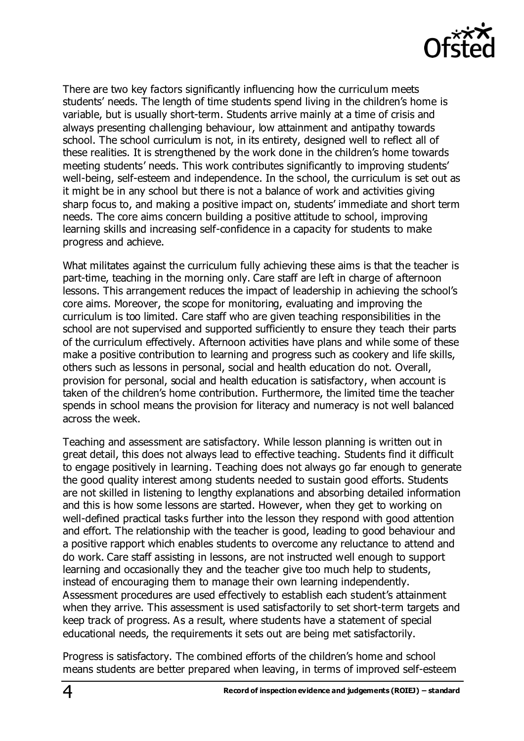

There are two key factors significantly influencing how the curriculum meets students' needs. The length of time students spend living in the children's home is variable, but is usually short-term. Students arrive mainly at a time of crisis and always presenting challenging behaviour, low attainment and antipathy towards school. The school curriculum is not, in its entirety, designed well to reflect all of these realities. It is strengthened by the work done in the children's home towards meeting students' needs. This work contributes significantly to improving students' well-being, self-esteem and independence. In the school, the curriculum is set out as it might be in any school but there is not a balance of work and activities giving sharp focus to, and making a positive impact on, students' immediate and short term needs. The core aims concern building a positive attitude to school, improving learning skills and increasing self-confidence in a capacity for students to make progress and achieve.

What militates against the curriculum fully achieving these aims is that the teacher is part-time, teaching in the morning only. Care staff are left in charge of afternoon lessons. This arrangement reduces the impact of leadership in achieving the school's core aims. Moreover, the scope for monitoring, evaluating and improving the curriculum is too limited. Care staff who are given teaching responsibilities in the school are not supervised and supported sufficiently to ensure they teach their parts of the curriculum effectively. Afternoon activities have plans and while some of these make a positive contribution to learning and progress such as cookery and life skills, others such as lessons in personal, social and health education do not. Overall, provision for personal, social and health education is satisfactory, when account is taken of the children's home contribution. Furthermore, the limited time the teacher spends in school means the provision for literacy and numeracy is not well balanced across the week.

Teaching and assessment are satisfactory. While lesson planning is written out in great detail, this does not always lead to effective teaching. Students find it difficult to engage positively in learning. Teaching does not always go far enough to generate the good quality interest among students needed to sustain good efforts. Students are not skilled in listening to lengthy explanations and absorbing detailed information and this is how some lessons are started. However, when they get to working on well-defined practical tasks further into the lesson they respond with good attention and effort. The relationship with the teacher is good, leading to good behaviour and a positive rapport which enables students to overcome any reluctance to attend and do work. Care staff assisting in lessons, are not instructed well enough to support learning and occasionally they and the teacher give too much help to students, instead of encouraging them to manage their own learning independently. Assessment procedures are used effectively to establish each student's attainment when they arrive. This assessment is used satisfactorily to set short-term targets and keep track of progress. As a result, where students have a statement of special educational needs, the requirements it sets out are being met satisfactorily.

Progress is satisfactory. The combined efforts of the children's home and school means students are better prepared when leaving, in terms of improved self-esteem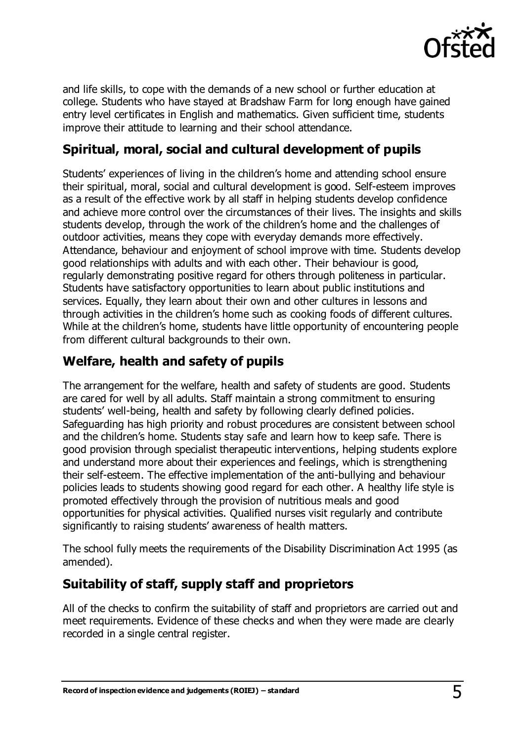

and life skills, to cope with the demands of a new school or further education at college. Students who have stayed at Bradshaw Farm for long enough have gained entry level certificates in English and mathematics. Given sufficient time, students improve their attitude to learning and their school attendance.

## **Spiritual, moral, social and cultural development of pupils**

Students' experiences of living in the children's home and attending school ensure their spiritual, moral, social and cultural development is good. Self-esteem improves as a result of the effective work by all staff in helping students develop confidence and achieve more control over the circumstances of their lives. The insights and skills students develop, through the work of the children's home and the challenges of outdoor activities, means they cope with everyday demands more effectively. Attendance, behaviour and enjoyment of school improve with time. Students develop good relationships with adults and with each other. Their behaviour is good, regularly demonstrating positive regard for others through politeness in particular. Students have satisfactory opportunities to learn about public institutions and services. Equally, they learn about their own and other cultures in lessons and through activities in the children's home such as cooking foods of different cultures. While at the children's home, students have little opportunity of encountering people from different cultural backgrounds to their own.

### **Welfare, health and safety of pupils**

The arrangement for the welfare, health and safety of students are good. Students are cared for well by all adults. Staff maintain a strong commitment to ensuring students' well-being, health and safety by following clearly defined policies. Safeguarding has high priority and robust procedures are consistent between school and the children's home. Students stay safe and learn how to keep safe. There is good provision through specialist therapeutic interventions, helping students explore and understand more about their experiences and feelings, which is strengthening their self-esteem. The effective implementation of the anti-bullying and behaviour policies leads to students showing good regard for each other. A healthy life style is promoted effectively through the provision of nutritious meals and good opportunities for physical activities. Qualified nurses visit regularly and contribute significantly to raising students' awareness of health matters.

The school fully meets the requirements of the Disability Discrimination Act 1995 (as amended).

# **Suitability of staff, supply staff and proprietors**

All of the checks to confirm the suitability of staff and proprietors are carried out and meet requirements. Evidence of these checks and when they were made are clearly recorded in a single central register.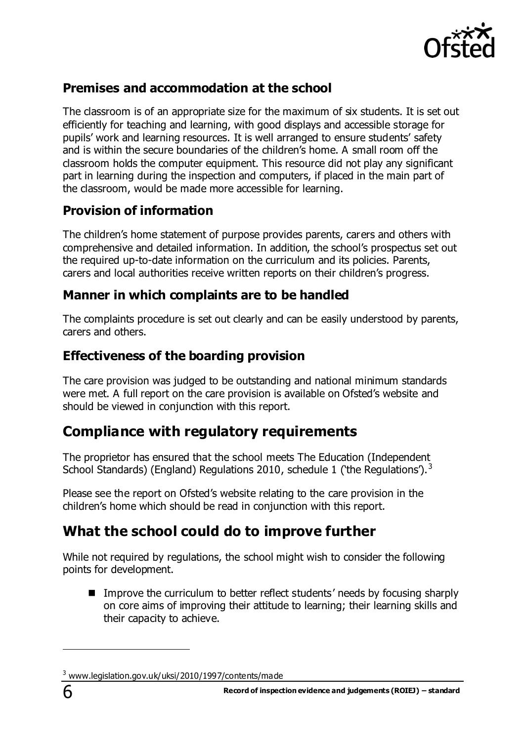

# **Premises and accommodation at the school**

The classroom is of an appropriate size for the maximum of six students. It is set out efficiently for teaching and learning, with good displays and accessible storage for pupils' work and learning resources. It is well arranged to ensure students' safety and is within the secure boundaries of the children's home. A small room off the classroom holds the computer equipment. This resource did not play any significant part in learning during the inspection and computers, if placed in the main part of the classroom, would be made more accessible for learning.

# **Provision of information**

The children's home statement of purpose provides parents, carers and others with comprehensive and detailed information. In addition, the school's prospectus set out the required up-to-date information on the curriculum and its policies. Parents, carers and local authorities receive written reports on their children's progress.

#### **Manner in which complaints are to be handled**

The complaints procedure is set out clearly and can be easily understood by parents, carers and others.

# **Effectiveness of the boarding provision**

The care provision was judged to be outstanding and national minimum standards were met. A full report on the care provision is available on Ofsted's website and should be viewed in conjunction with this report.

# **Compliance with regulatory requirements**

The proprietor has ensured that the school meets The Education (Independent School Standards) (England) Regulations 2010, schedule 1 ('the Regulations').<sup>3</sup>

Please see the report on Ofsted's website relating to the care provision in the children's home which should be read in conjunction with this report.

# **What the school could do to improve further**

While not required by regulations, the school might wish to consider the following points for development.

■ Improve the curriculum to better reflect students' needs by focusing sharply on core aims of improving their attitude to learning; their learning skills and their capacity to achieve.

 $\overline{a}$ 

<sup>&</sup>lt;sup>3</sup> [www.legislation.gov.uk/uksi/2010/1997/contents/made](http://www.legislation.gov.uk/uksi/2010/1997/contents/made)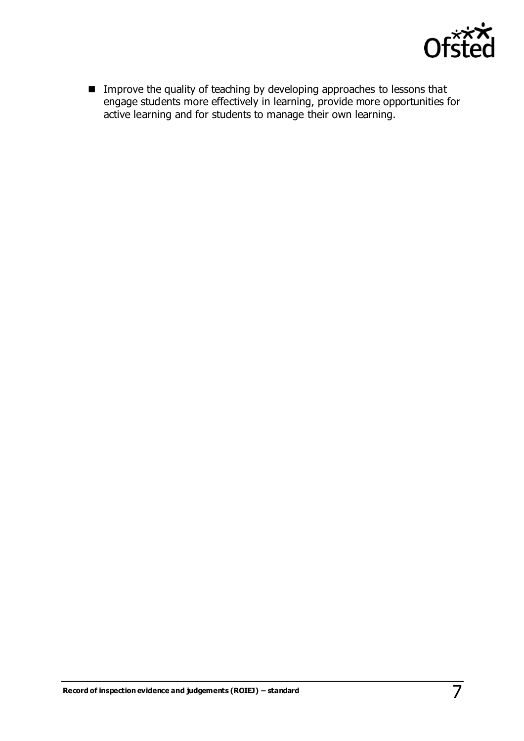

■ Improve the quality of teaching by developing approaches to lessons that engage students more effectively in learning, provide more opportunities for active learning and for students to manage their own learning.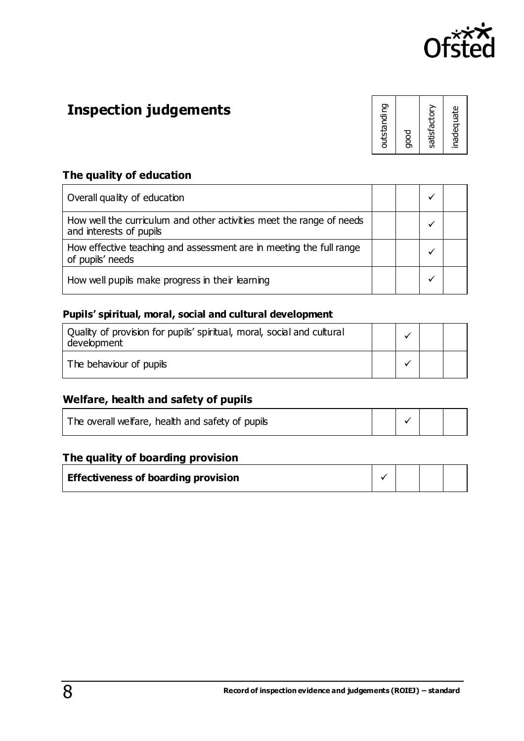

# **Inspection judgements**

| outstanding  |
|--------------|
| good         |
| satisfactory |
| inadequate   |

#### **The quality of education**

| Overall quality of education                                                                    |  |  |
|-------------------------------------------------------------------------------------------------|--|--|
| How well the curriculum and other activities meet the range of needs<br>and interests of pupils |  |  |
| How effective teaching and assessment are in meeting the full range<br>of pupils' needs         |  |  |
| How well pupils make progress in their learning                                                 |  |  |

#### **Pupils' spiritual, moral, social and cultural development**

| Quality of provision for pupils' spiritual, moral, social and cultural<br>development |  |  |
|---------------------------------------------------------------------------------------|--|--|
| The behaviour of pupils                                                               |  |  |

#### **Welfare, health and safety of pupils**

| The overall welfare, health and safety of pupils |  |  |
|--------------------------------------------------|--|--|
|                                                  |  |  |

#### **The quality of boarding provision**

| <b>Effectiveness of boarding provision</b> |  |  |
|--------------------------------------------|--|--|
|                                            |  |  |